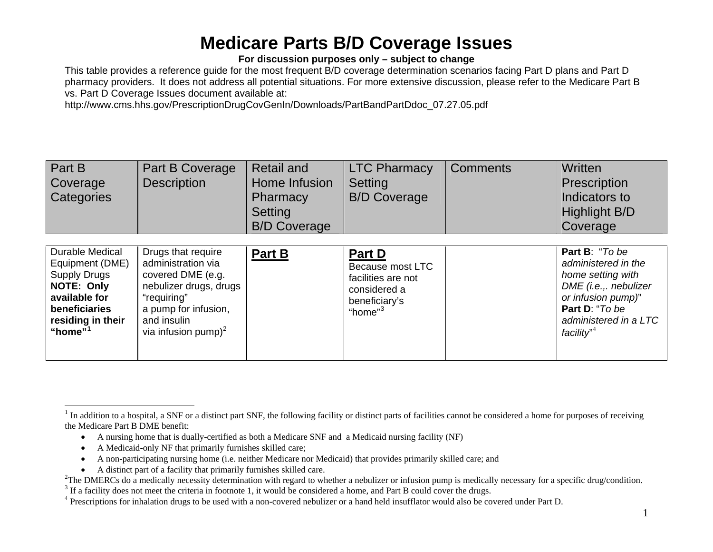#### **For discussion purposes only – subject to change**

This table provides a reference guide for the most frequent B/D coverage determination scenarios facing Part D plans and Part D pharmacy providers. It does not address all potential situations. For more extensive discussion, please refer to the Medicare Part B vs. Part D Coverage Issues document available at:

http://www.cms.hhs.gov/PrescriptionDrugCovGenIn/Downloads/PartBandPartDdoc\_07.27.05.pdf

| Part B<br>Coverage<br>Categories                                                                                                             | Part B Coverage<br><b>Description</b>                                                                                                                                            | <b>Retail and</b><br>Home Infusion<br>Pharmacy<br><b>Setting</b><br><b>B/D Coverage</b> | <b>LTC Pharmacy</b><br>Setting<br><b>B/D Coverage</b>                                                    | <b>Comments</b> | Written<br>Prescription<br>Indicators to<br>Highlight B/D<br>Coverage                                                                                                          |
|----------------------------------------------------------------------------------------------------------------------------------------------|----------------------------------------------------------------------------------------------------------------------------------------------------------------------------------|-----------------------------------------------------------------------------------------|----------------------------------------------------------------------------------------------------------|-----------------|--------------------------------------------------------------------------------------------------------------------------------------------------------------------------------|
| Durable Medical<br>Equipment (DME)<br><b>Supply Drugs</b><br>NOTE: Only<br>available for<br>beneficiaries<br>residing in their<br>"home" $1$ | Drugs that require<br>administration via<br>covered DME (e.g.<br>nebulizer drugs, drugs<br>"requiring"<br>a pump for infusion,<br>and insulin<br>via infusion pump) <sup>2</sup> | Part B                                                                                  | Part D<br>Because most LTC<br>facilities are not<br>considered a<br>beneficiary's<br>"home" <sup>3</sup> |                 | Part B: "To be<br>administered in the<br>home setting with<br>DME (i.e.,. nebulizer<br>or infusion pump)"<br>Part D: "To be<br>administered in a LTC<br>facility" <sup>4</sup> |

- A nursing home that is dually-certified as both a Medicare SNF and a Medicaid nursing facility (NF)
- •A Medicaid-only NF that primarily furnishes skilled care;
- •A non-participating nursing home (i.e. neither Medicare nor Medicaid) that provides primarily skilled care; and
- A distinct part of a facility that primarily furnishes skilled care.

<span id="page-0-0"></span> $1$  In addition to a hospital, a SNF or a distinct part SNF, the following facility or distinct parts of facilities cannot be considered a home for purposes of receiving the Medicare Part B DME benefit:

<span id="page-0-1"></span><sup>&</sup>lt;sup>2</sup>The DMERCs do a medically necessity determination with regard to whether a nebulizer or infusion pump is medically necessary for a specific drug/condition.<sup>3</sup> If a facility does not meet the criteria in footnote 1, it

<span id="page-0-2"></span><sup>4</sup> Prescriptions for inhalation drugs to be used with a non-covered nebulizer or a hand held insufflator would also be covered under Part D.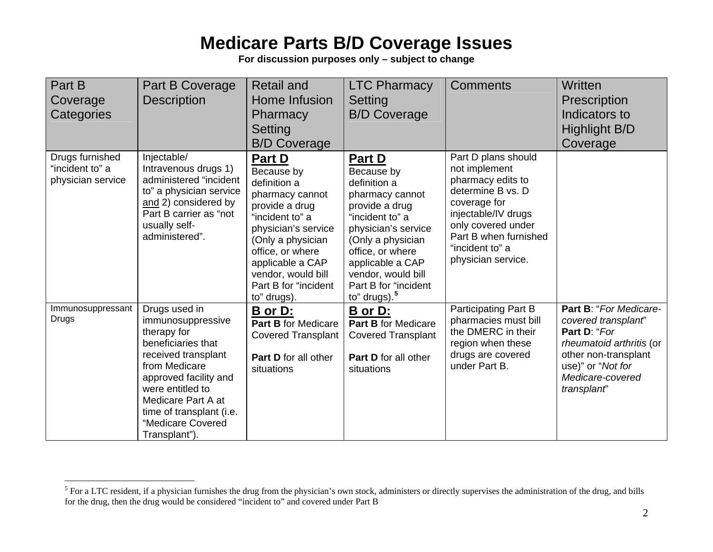| Part B<br>Coverage<br>Categories                        | Part B Coverage<br><b>Description</b>                                                                                                                                                                                                                | <b>Retail and</b><br>Home Infusion<br>Pharmacy<br><b>Setting</b><br><b>B/D Coverage</b>                                                                                                                                                       | <b>LTC Pharmacy</b><br>Setting<br><b>B/D Coverage</b>                                                                                                                                                                                             | <b>Comments</b>                                                                                                                                                                                               | Written<br>Prescription<br>Indicators to<br>Highlight B/D<br>Coverage                                                                                                     |
|---------------------------------------------------------|------------------------------------------------------------------------------------------------------------------------------------------------------------------------------------------------------------------------------------------------------|-----------------------------------------------------------------------------------------------------------------------------------------------------------------------------------------------------------------------------------------------|---------------------------------------------------------------------------------------------------------------------------------------------------------------------------------------------------------------------------------------------------|---------------------------------------------------------------------------------------------------------------------------------------------------------------------------------------------------------------|---------------------------------------------------------------------------------------------------------------------------------------------------------------------------|
| Drugs furnished<br>"incident to" a<br>physician service | Injectable/<br>Intravenous drugs 1)<br>administered "incident<br>to" a physician service<br>and 2) considered by<br>Part B carrier as "not<br>usually self-<br>administered".                                                                        | Part D<br>Because by<br>definition a<br>pharmacy cannot<br>provide a drug<br>"incident to" a<br>physician's service<br>(Only a physician<br>office, or where<br>applicable a CAP<br>vendor, would bill<br>Part B for "incident<br>to" drugs). | Part D<br>Because by<br>definition a<br>pharmacy cannot<br>provide a drug<br>"incident to" a<br>physician's service<br>(Only a physician<br>office, or where<br>applicable a CAP<br>vendor, would bill<br>Part B for "incident<br>to" drugs). $5$ | Part D plans should<br>not implement<br>pharmacy edits to<br>determine B vs. D<br>coverage for<br>injectable/IV drugs<br>only covered under<br>Part B when furnished<br>"incident to" a<br>physician service. |                                                                                                                                                                           |
| Immunosuppressant<br>Drugs                              | Drugs used in<br>immunosuppressive<br>therapy for<br>beneficiaries that<br>received transplant<br>from Medicare<br>approved facility and<br>were entitled to<br>Medicare Part A at<br>time of transplant (i.e.<br>"Medicare Covered<br>Transplant"). | B or D:<br>Part B for Medicare<br><b>Covered Transplant</b><br>Part D for all other<br>situations                                                                                                                                             | <b>B</b> or D:<br>Part B for Medicare<br><b>Covered Transplant</b><br>Part D for all other<br>situations                                                                                                                                          | Participating Part B<br>pharmacies must bill<br>the DMERC in their<br>region when these<br>drugs are covered<br>under Part B.                                                                                 | Part B: "For Medicare-<br>covered transplant"<br>Part D: "For<br>rheumatoid arthritis (or<br>other non-transplant<br>use)" or "Not for<br>Medicare-covered<br>transplant" |

<span id="page-1-0"></span> $<sup>5</sup>$  For a LTC resident, if a physician furnishes the drug from the physician's own stock, administers or directly supervises the administration of the drug, and bills</sup> for the drug, then the drug would be considered "incident to" and covered under Part B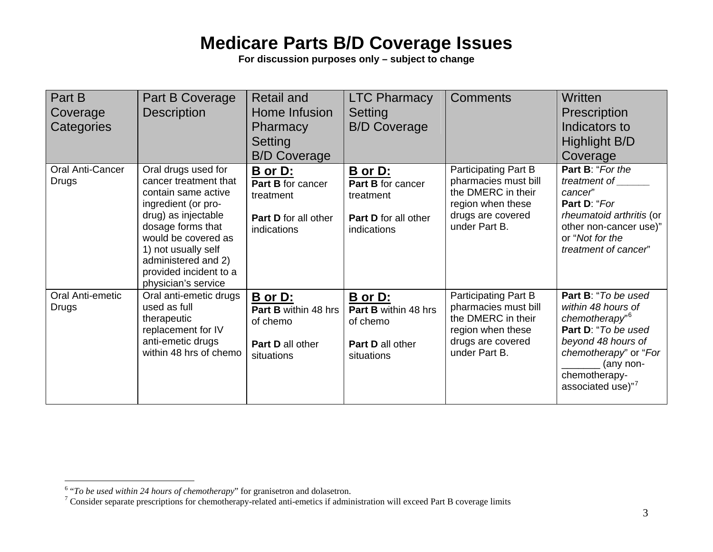| Part B<br>Coverage<br>Categories        | <b>Part B Coverage</b><br><b>Description</b>                                                                                                                                                                                                                 | <b>Retail and</b><br>Home Infusion<br><b>Pharmacy</b><br>Setting<br><b>B/D Coverage</b>     | <b>LTC Pharmacy</b><br>Setting<br><b>B/D Coverage</b>                                | <b>Comments</b>                                                                                                               | Written<br><b>Prescription</b><br>Indicators to<br>Highlight B/D<br>Coverage                                                                                                                     |
|-----------------------------------------|--------------------------------------------------------------------------------------------------------------------------------------------------------------------------------------------------------------------------------------------------------------|---------------------------------------------------------------------------------------------|--------------------------------------------------------------------------------------|-------------------------------------------------------------------------------------------------------------------------------|--------------------------------------------------------------------------------------------------------------------------------------------------------------------------------------------------|
| <b>Oral Anti-Cancer</b><br><b>Drugs</b> | Oral drugs used for<br>cancer treatment that<br>contain same active<br>ingredient (or pro-<br>drug) as injectable<br>dosage forms that<br>would be covered as<br>1) not usually self<br>administered and 2)<br>provided incident to a<br>physician's service | B or D:<br>Part B for cancer<br>treatment<br>Part D for all other<br>indications            | B or D:<br>Part B for cancer<br>treatment<br>Part D for all other<br>indications     | Participating Part B<br>pharmacies must bill<br>the DMERC in their<br>region when these<br>drugs are covered<br>under Part B. | Part B: "For the<br>treatment of<br>cancer"<br>Part D: "For<br>rheumatoid arthritis (or<br>other non-cancer use)"<br>or "Not for the<br>treatment of cancer"                                     |
| Oral Anti-emetic<br><b>Drugs</b>        | Oral anti-emetic drugs<br>used as full<br>therapeutic<br>replacement for IV<br>anti-emetic drugs<br>within 48 hrs of chemo                                                                                                                                   | B or D:<br><b>Part B within 48 hrs</b><br>of chemo<br><b>Part D</b> all other<br>situations | B or D:<br><b>Part B within 48 hrs</b><br>of chemo<br>Part D all other<br>situations | Participating Part B<br>pharmacies must bill<br>the DMERC in their<br>region when these<br>drugs are covered<br>under Part B. | Part B: "To be used<br>within 48 hours of<br>chemotherapy" <sup>6</sup><br>Part D: "To be used<br>beyond 48 hours of<br>chemotherapy" or "For<br>(any non-<br>chemotherapy-<br>associated use)"7 |

<span id="page-2-1"></span><span id="page-2-0"></span><sup>&</sup>lt;sup>6</sup> "*To be used within 24 hours of chemotherapy*" for granisetron and dolasetron.<br><sup>7</sup> Consider separate prescriptions for chemotherapy-related anti-emetics if administration will exceed Part B coverage limits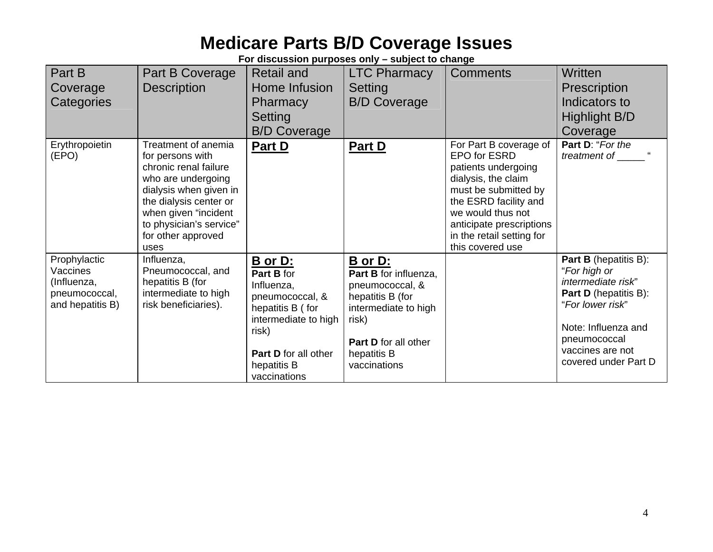| Part B<br>Coverage<br>Categories                                             | Part B Coverage<br><b>Description</b>                                                                                                                                                                                       | <b>Retail and</b><br>Home Infusion<br><b>Pharmacy</b><br>Setting<br><b>B/D Coverage</b>                                                                                   | <b>LTC Pharmacy</b><br>Setting<br><b>B/D Coverage</b>                                                                                                           | <b>Comments</b>                                                                                                                                                                                                                         | <b>Written</b><br><b>Prescription</b><br>Indicators to<br><b>Highlight B/D</b><br>Coverage                                                                                                                |
|------------------------------------------------------------------------------|-----------------------------------------------------------------------------------------------------------------------------------------------------------------------------------------------------------------------------|---------------------------------------------------------------------------------------------------------------------------------------------------------------------------|-----------------------------------------------------------------------------------------------------------------------------------------------------------------|-----------------------------------------------------------------------------------------------------------------------------------------------------------------------------------------------------------------------------------------|-----------------------------------------------------------------------------------------------------------------------------------------------------------------------------------------------------------|
| Erythropoietin<br>(EPO)                                                      | Treatment of anemia<br>for persons with<br>chronic renal failure<br>who are undergoing<br>dialysis when given in<br>the dialysis center or<br>when given "incident<br>to physician's service"<br>for other approved<br>uses | Part D                                                                                                                                                                    | Part D                                                                                                                                                          | For Part B coverage of<br>EPO for ESRD<br>patients undergoing<br>dialysis, the claim<br>must be submitted by<br>the ESRD facility and<br>we would thus not<br>anticipate prescriptions<br>in the retail setting for<br>this covered use | Part D: "For the<br>treatment of                                                                                                                                                                          |
| Prophylactic<br>Vaccines<br>(Influenza,<br>pneumococcal,<br>and hepatitis B) | Influenza,<br>Pneumococcal, and<br>hepatitis B (for<br>intermediate to high<br>risk beneficiaries).                                                                                                                         | B or D:<br>Part B for<br>Influenza,<br>pneumococcal, &<br>hepatitis B (for<br>intermediate to high<br>risk)<br><b>Part D</b> for all other<br>hepatitis B<br>vaccinations | B or D:<br>Part B for influenza,<br>pneumococcal, &<br>hepatitis B (for<br>intermediate to high<br>risk)<br>Part D for all other<br>hepatitis B<br>vaccinations |                                                                                                                                                                                                                                         | <b>Part B</b> (hepatitis B):<br>"For high or<br>intermediate risk"<br><b>Part D</b> (hepatitis B):<br>"For lower risk"<br>Note: Influenza and<br>pneumococcal<br>vaccines are not<br>covered under Part D |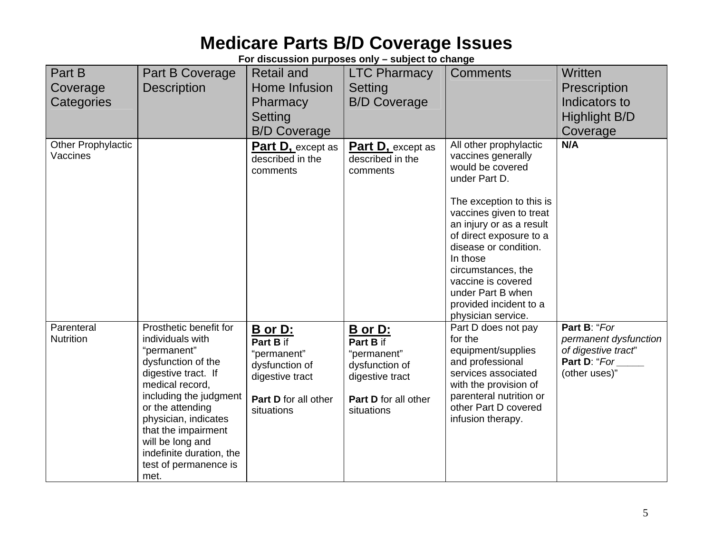| Part B<br>Coverage<br>Categories      | Part B Coverage<br><b>Description</b>                                                                                                                                                                                                                                                                   | <b>Retail and</b><br>Home Infusion<br>Pharmacy<br>Setting<br><b>B/D Coverage</b>                               | <b>LTC Pharmacy</b><br>Setting<br><b>B/D Coverage</b>                                                                 | <b>Comments</b>                                                                                                                                                                                                                                                                                                                                       | Written<br>Prescription<br>Indicators to<br><b>Highlight B/D</b><br>Coverage                  |
|---------------------------------------|---------------------------------------------------------------------------------------------------------------------------------------------------------------------------------------------------------------------------------------------------------------------------------------------------------|----------------------------------------------------------------------------------------------------------------|-----------------------------------------------------------------------------------------------------------------------|-------------------------------------------------------------------------------------------------------------------------------------------------------------------------------------------------------------------------------------------------------------------------------------------------------------------------------------------------------|-----------------------------------------------------------------------------------------------|
| <b>Other Prophylactic</b><br>Vaccines |                                                                                                                                                                                                                                                                                                         | <b>Part D, except as</b><br>described in the<br>comments                                                       | <b>Part D, except as</b><br>described in the<br>comments                                                              | All other prophylactic<br>vaccines generally<br>would be covered<br>under Part D.<br>The exception to this is<br>vaccines given to treat<br>an injury or as a result<br>of direct exposure to a<br>disease or condition.<br>In those<br>circumstances, the<br>vaccine is covered<br>under Part B when<br>provided incident to a<br>physician service. | N/A                                                                                           |
| Parenteral<br><b>Nutrition</b>        | Prosthetic benefit for<br>individuals with<br>"permanent"<br>dysfunction of the<br>digestive tract. If<br>medical record,<br>including the judgment<br>or the attending<br>physician, indicates<br>that the impairment<br>will be long and<br>indefinite duration, the<br>test of permanence is<br>met. | B or D:<br>Part B if<br>"permanent"<br>dysfunction of<br>digestive tract<br>Part D for all other<br>situations | <b>B</b> or D:<br>Part B if<br>"permanent"<br>dysfunction of<br>digestive tract<br>Part D for all other<br>situations | Part D does not pay<br>for the<br>equipment/supplies<br>and professional<br>services associated<br>with the provision of<br>parenteral nutrition or<br>other Part D covered<br>infusion therapy.                                                                                                                                                      | Part B: "For<br>permanent dysfunction<br>of digestive tract"<br>Part D: "For<br>(other uses)" |